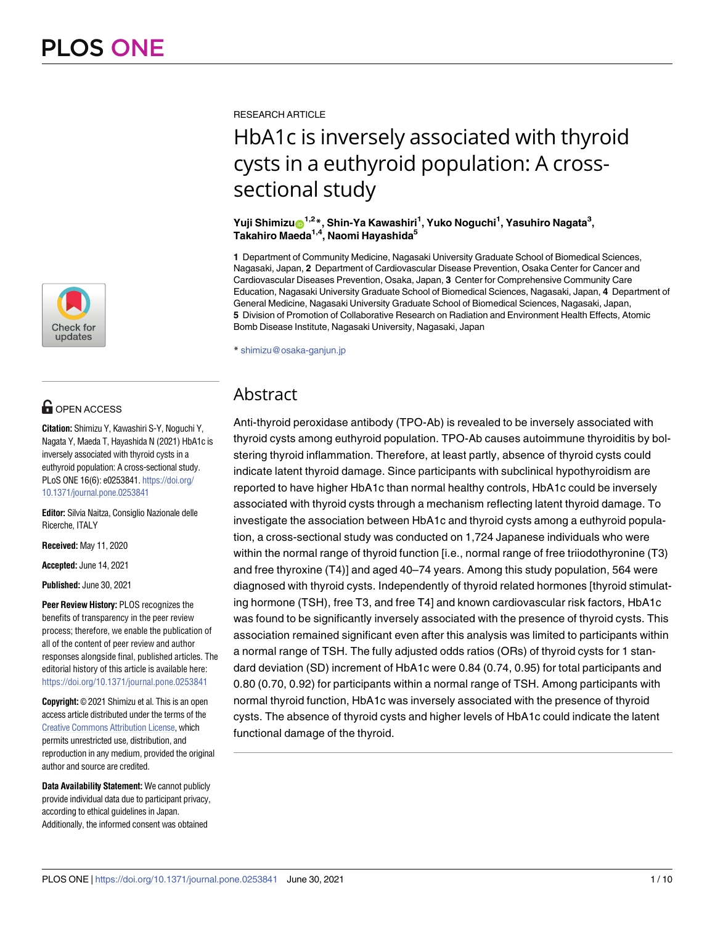

# **OPEN ACCESS**

**Citation:** Shimizu Y, Kawashiri S-Y, Noguchi Y, Nagata Y, Maeda T, Hayashida N (2021) HbA1c is inversely associated with thyroid cysts in a euthyroid population: A cross-sectional study. PLoS ONE 16(6): e0253841. [https://doi.org/](https://doi.org/10.1371/journal.pone.0253841) [10.1371/journal.pone.0253841](https://doi.org/10.1371/journal.pone.0253841)

**Editor:** Silvia Naitza, Consiglio Nazionale delle Ricerche, ITALY

**Received:** May 11, 2020

**Accepted:** June 14, 2021

**Published:** June 30, 2021

**Peer Review History:** PLOS recognizes the benefits of transparency in the peer review process; therefore, we enable the publication of all of the content of peer review and author responses alongside final, published articles. The editorial history of this article is available here: <https://doi.org/10.1371/journal.pone.0253841>

**Copyright:** © 2021 Shimizu et al. This is an open access article distributed under the terms of the Creative Commons [Attribution](http://creativecommons.org/licenses/by/4.0/) License, which permits unrestricted use, distribution, and reproduction in any medium, provided the original author and source are credited.

**Data Availability Statement:** We cannot publicly provide individual data due to participant privacy, according to ethical guidelines in Japan. Additionally, the informed consent was obtained

RESEARCH ARTICLE

# HbA1c is inversely associated with thyroid cysts in a euthyroid population: A crosssectional study

### $Y$ uji Shimizu $\mathrm{O}^{1,2\,}$ , Shin-Ya Kawashiri<sup>1</sup>, Yuko Noguchi<sup>1</sup>, Yasuhiro Nagata $^3,$ **Takahiro Maeda1,4, Naomi Hayashida5**

**1** Department of Community Medicine, Nagasaki University Graduate School of Biomedical Sciences, Nagasaki, Japan, **2** Department of Cardiovascular Disease Prevention, Osaka Center for Cancer and Cardiovascular Diseases Prevention, Osaka, Japan, **3** Center for Comprehensive Community Care Education, Nagasaki University Graduate School of Biomedical Sciences, Nagasaki, Japan, **4** Department of General Medicine, Nagasaki University Graduate School of Biomedical Sciences, Nagasaki, Japan, **5** Division of Promotion of Collaborative Research on Radiation and Environment Health Effects, Atomic Bomb Disease Institute, Nagasaki University, Nagasaki, Japan

\* shimizu@osaka-ganjun.jp

## Abstract

Anti-thyroid peroxidase antibody (TPO-Ab) is revealed to be inversely associated with thyroid cysts among euthyroid population. TPO-Ab causes autoimmune thyroiditis by bolstering thyroid inflammation. Therefore, at least partly, absence of thyroid cysts could indicate latent thyroid damage. Since participants with subclinical hypothyroidism are reported to have higher HbA1c than normal healthy controls, HbA1c could be inversely associated with thyroid cysts through a mechanism reflecting latent thyroid damage. To investigate the association between HbA1c and thyroid cysts among a euthyroid population, a cross-sectional study was conducted on 1,724 Japanese individuals who were within the normal range of thyroid function [i.e., normal range of free triiodothyronine (T3) and free thyroxine (T4)] and aged 40–74 years. Among this study population, 564 were diagnosed with thyroid cysts. Independently of thyroid related hormones [thyroid stimulating hormone (TSH), free T3, and free T4] and known cardiovascular risk factors, HbA1c was found to be significantly inversely associated with the presence of thyroid cysts. This association remained significant even after this analysis was limited to participants within a normal range of TSH. The fully adjusted odds ratios (ORs) of thyroid cysts for 1 standard deviation (SD) increment of HbA1c were 0.84 (0.74, 0.95) for total participants and 0.80 (0.70, 0.92) for participants within a normal range of TSH. Among participants with normal thyroid function, HbA1c was inversely associated with the presence of thyroid cysts. The absence of thyroid cysts and higher levels of HbA1c could indicate the latent functional damage of the thyroid.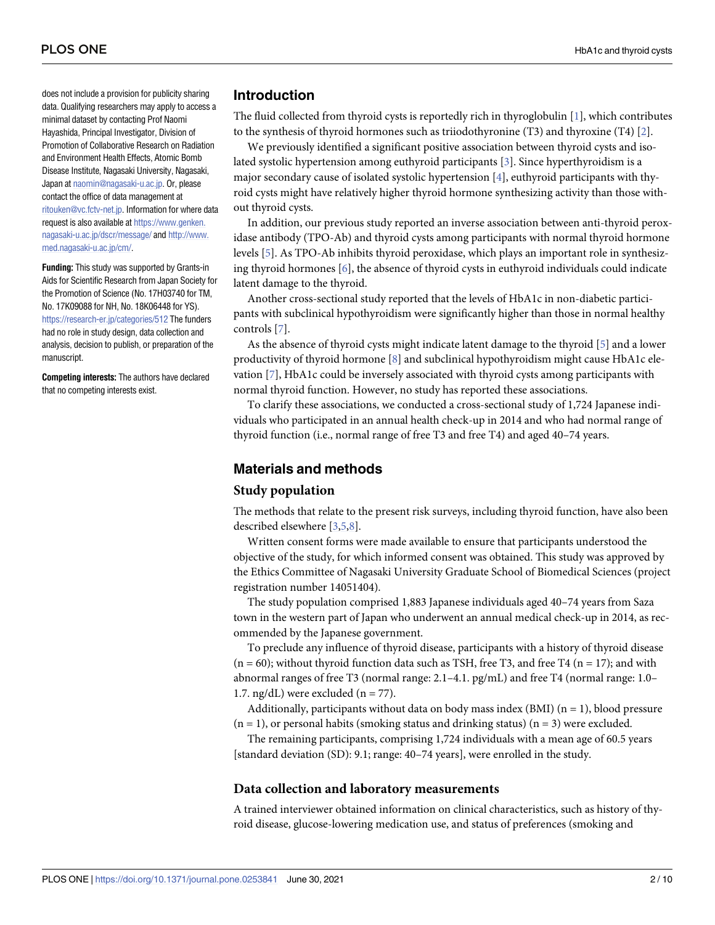<span id="page-1-0"></span>does not include a provision for publicity sharing data. Qualifying researchers may apply to access a minimal dataset by contacting Prof Naomi Hayashida, Principal Investigator, Division of Promotion of Collaborative Research on Radiation and Environment Health Effects, Atomic Bomb Disease Institute, Nagasaki University, Nagasaki, Japan at [naomin@nagasaki-u.ac.jp](mailto:naomin@nagasaki-u.ac.jp). Or, please contact the office of data management at [ritouken@vc.fctv-net.jp](mailto:ritouken@vc.fctv-net.jp). Information for where data request is also available at [https://www.genken.](https://www.genken.nagasaki-u.ac.jp/dscr/message/) [nagasaki-u.ac.jp/dscr/message/](https://www.genken.nagasaki-u.ac.jp/dscr/message/) and [http://www.](http://www.med.nagasaki-u.ac.jp/cm/) [med.nagasaki-u.ac.jp/cm/](http://www.med.nagasaki-u.ac.jp/cm/).

**Funding:** This study was supported by Grants-in Aids for Scientific Research from Japan Society for the Promotion of Science (No. 17H03740 for TM, No. 17K09088 for NH, No. 18K06448 for YS). <https://research-er.jp/categories/512> The funders had no role in study design, data collection and analysis, decision to publish, or preparation of the manuscript.

**Competing interests:** The authors have declared that no competing interests exist.

### **Introduction**

The fluid collected from thyroid cysts is reportedly rich in thyroglobulin [[1](#page-8-0)], which contributes to the synthesis of thyroid hormones such as triiodothyronine (T3) and thyroxine (T4) [\[2\]](#page-8-0).

We previously identified a significant positive association between thyroid cysts and isolated systolic hypertension among euthyroid participants [[3](#page-8-0)]. Since hyperthyroidism is a major secondary cause of isolated systolic hypertension [\[4\]](#page-8-0), euthyroid participants with thyroid cysts might have relatively higher thyroid hormone synthesizing activity than those without thyroid cysts.

In addition, our previous study reported an inverse association between anti-thyroid peroxidase antibody (TPO-Ab) and thyroid cysts among participants with normal thyroid hormone levels [\[5\]](#page-8-0). As TPO-Ab inhibits thyroid peroxidase, which plays an important role in synthesizing thyroid hormones  $[6]$ , the absence of thyroid cysts in euthyroid individuals could indicate latent damage to the thyroid.

Another cross-sectional study reported that the levels of HbA1c in non-diabetic participants with subclinical hypothyroidism were significantly higher than those in normal healthy controls [\[7\]](#page-8-0).

As the absence of thyroid cysts might indicate latent damage to the thyroid [[5\]](#page-8-0) and a lower productivity of thyroid hormone [[8\]](#page-8-0) and subclinical hypothyroidism might cause HbA1c elevation [[7](#page-8-0)], HbA1c could be inversely associated with thyroid cysts among participants with normal thyroid function. However, no study has reported these associations.

To clarify these associations, we conducted a cross-sectional study of 1,724 Japanese individuals who participated in an annual health check-up in 2014 and who had normal range of thyroid function (i.e., normal range of free T3 and free T4) and aged 40–74 years.

### **Materials and methods**

### **Study population**

The methods that relate to the present risk surveys, including thyroid function, have also been described elsewhere [\[3,5,8\]](#page-8-0).

Written consent forms were made available to ensure that participants understood the objective of the study, for which informed consent was obtained. This study was approved by the Ethics Committee of Nagasaki University Graduate School of Biomedical Sciences (project registration number 14051404).

The study population comprised 1,883 Japanese individuals aged 40–74 years from Saza town in the western part of Japan who underwent an annual medical check-up in 2014, as recommended by the Japanese government.

To preclude any influence of thyroid disease, participants with a history of thyroid disease  $(n = 60)$ ; without thyroid function data such as TSH, free T3, and free T4  $(n = 17)$ ; and with abnormal ranges of free T3 (normal range: 2.1–4.1. pg/mL) and free T4 (normal range: 1.0– 1.7.  $ng/dL$ ) were excluded ( $n = 77$ ).

Additionally, participants without data on body mass index  $(BMI)$   $(n = 1)$ , blood pressure  $(n = 1)$ , or personal habits (smoking status and drinking status)  $(n = 3)$  were excluded.

The remaining participants, comprising 1,724 individuals with a mean age of 60.5 years [standard deviation (SD): 9.1; range: 40–74 years], were enrolled in the study.

### **Data collection and laboratory measurements**

A trained interviewer obtained information on clinical characteristics, such as history of thyroid disease, glucose-lowering medication use, and status of preferences (smoking and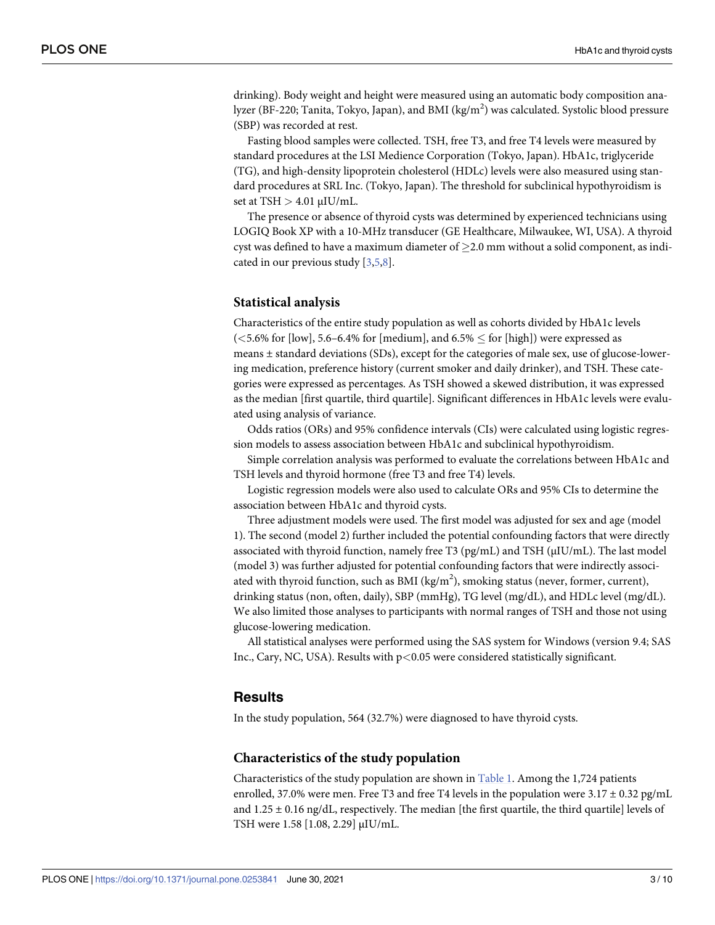<span id="page-2-0"></span>drinking). Body weight and height were measured using an automatic body composition analyzer (BF-220; Tanita, Tokyo, Japan), and BMI (kg/m<sup>2</sup>) was calculated. Systolic blood pressure (SBP) was recorded at rest.

Fasting blood samples were collected. TSH, free T3, and free T4 levels were measured by standard procedures at the LSI Medience Corporation (Tokyo, Japan). HbA1c, triglyceride (TG), and high-density lipoprotein cholesterol (HDLc) levels were also measured using standard procedures at SRL Inc. (Tokyo, Japan). The threshold for subclinical hypothyroidism is set at TSH *>* 4.01 μIU/mL.

The presence or absence of thyroid cysts was determined by experienced technicians using LOGIQ Book XP with a 10-MHz transducer (GE Healthcare, Milwaukee, WI, USA). A thyroid cyst was defined to have a maximum diameter of  $>2.0$  mm without a solid component, as indicated in our previous study  $[3,5,8]$  $[3,5,8]$  $[3,5,8]$  $[3,5,8]$  $[3,5,8]$  $[3,5,8]$  $[3,5,8]$ .

### **Statistical analysis**

Characteristics of the entire study population as well as cohorts divided by HbA1c levels  $(<5.6\%$  for [low], 5.6–6.4% for [medium], and  $6.5\% \leq$  for [high]) were expressed as means ± standard deviations (SDs), except for the categories of male sex, use of glucose-lowering medication, preference history (current smoker and daily drinker), and TSH. These categories were expressed as percentages. As TSH showed a skewed distribution, it was expressed as the median [first quartile, third quartile]. Significant differences in HbA1c levels were evaluated using analysis of variance.

Odds ratios (ORs) and 95% confidence intervals (CIs) were calculated using logistic regression models to assess association between HbA1c and subclinical hypothyroidism.

Simple correlation analysis was performed to evaluate the correlations between HbA1c and TSH levels and thyroid hormone (free T3 and free T4) levels.

Logistic regression models were also used to calculate ORs and 95% CIs to determine the association between HbA1c and thyroid cysts.

Three adjustment models were used. The first model was adjusted for sex and age (model 1). The second (model 2) further included the potential confounding factors that were directly associated with thyroid function, namely free T3 (pg/mL) and TSH (μIU/mL). The last model (model 3) was further adjusted for potential confounding factors that were indirectly associated with thyroid function, such as BMI (kg/m<sup>2</sup>), smoking status (never, former, current), drinking status (non, often, daily), SBP (mmHg), TG level (mg/dL), and HDLc level (mg/dL). We also limited those analyses to participants with normal ranges of TSH and those not using glucose-lowering medication.

All statistical analyses were performed using the SAS system for Windows (version 9.4; SAS Inc., Cary, NC, USA). Results with p*<*0.05 were considered statistically significant.

### **Results**

In the study population, 564 (32.7%) were diagnosed to have thyroid cysts.

### **Characteristics of the study population**

Characteristics of the study population are shown in [Table](#page-3-0) 1. Among the 1,724 patients enrolled, 37.0% were men. Free T3 and free T4 levels in the population were  $3.17 \pm 0.32$  pg/mL and  $1.25 \pm 0.16$  ng/dL, respectively. The median [the first quartile, the third quartile] levels of TSH were 1.58 [1.08, 2.29] μIU/mL.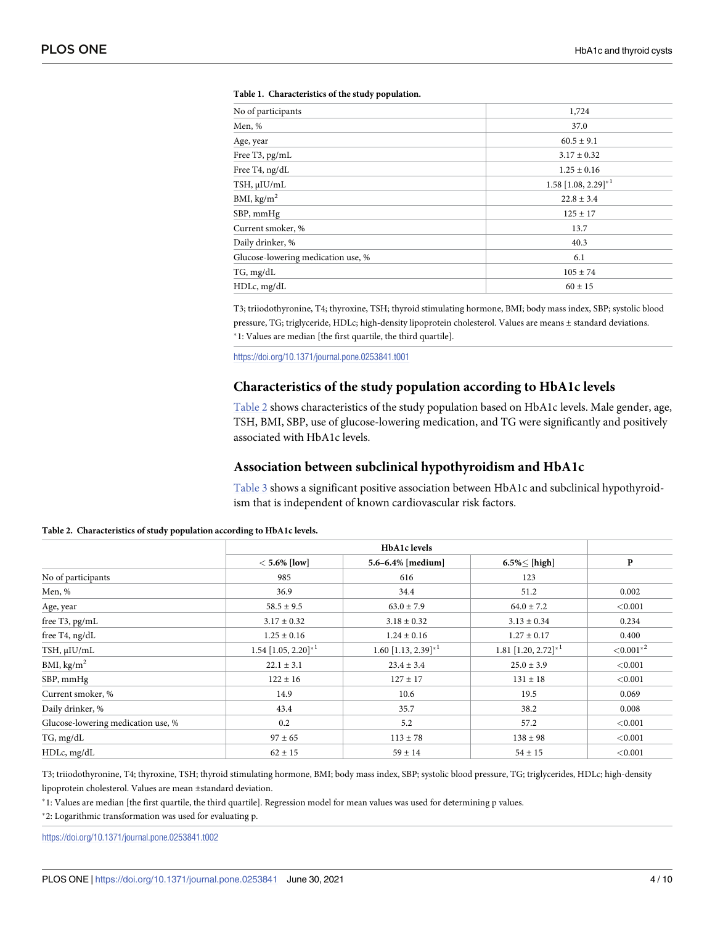| No of participants                 | 1,724                             |
|------------------------------------|-----------------------------------|
| Men, %                             | 37.0                              |
| Age, year                          | $60.5 \pm 9.1$                    |
| Free T3, pg/mL                     | $3.17 \pm 0.32$                   |
| Free T4, ng/dL                     | $1.25 \pm 0.16$                   |
| TSH, µIU/mL                        | $1.58$ [1.08, 2.29] <sup>*1</sup> |
| BMI, $\text{kg/m}^2$               | $22.8 \pm 3.4$                    |
| SBP, mmHg                          | $125 \pm 17$                      |
| Current smoker, %                  | 13.7                              |
| Daily drinker, %                   | 40.3                              |
| Glucose-lowering medication use, % | 6.1                               |
| TG, mg/dL                          | $105 \pm 74$                      |
| HDLc, mg/dL                        | $60 \pm 15$                       |

#### <span id="page-3-0"></span>**[Table](#page-2-0) 1. Characteristics of the study population.**

T3; triiodothyronine, T4; thyroxine, TSH; thyroid stimulating hormone, BMI; body mass index, SBP; systolic blood pressure, TG; triglyceride, HDLc; high-density lipoprotein cholesterol. Values are means ± standard deviations. �1: Values are median [the first quartile, the third quartile].

<https://doi.org/10.1371/journal.pone.0253841.t001>

### **Characteristics of the study population according to HbA1c levels**

Table 2 shows characteristics of the study population based on HbA1c levels. Male gender, age, TSH, BMI, SBP, use of glucose-lowering medication, and TG were significantly and positively associated with HbA1c levels.

### **Association between subclinical hypothyroidism and HbA1c**

[Table](#page-4-0) 3 shows a significant positive association between HbA1c and subclinical hypothyroidism that is independent of known cardiovascular risk factors.

|                                    | $< 5.6\%$ [low]                   | 5.6-6.4% [medium]                 | $6.5\%<$ [high]                      | P             |
|------------------------------------|-----------------------------------|-----------------------------------|--------------------------------------|---------------|
| No of participants                 | 985                               | 616                               | 123                                  |               |
| Men, %                             | 36.9                              | 34.4                              | 51.2                                 | 0.002         |
| Age, year                          | $58.5 \pm 9.5$                    | $63.0 \pm 7.9$                    | $64.0 \pm 7.2$                       | < 0.001       |
| free T3, pg/mL                     | $3.17 \pm 0.32$                   | $3.18 \pm 0.32$                   | $3.13 \pm 0.34$                      | 0.234         |
| free T4, ng/dL                     | $1.25 \pm 0.16$                   | $1.24 \pm 0.16$                   | $1.27 \pm 0.17$                      | 0.400         |
| TSH, µIU/mL                        | $1.54$ [1.05, 2.20] <sup>*1</sup> | $1.60$ [1.13, 2.39] <sup>*1</sup> | $1.81$ [1.20, $2.72$ ] <sup>*1</sup> | ${<}0.001*^2$ |
| BMI, $\text{kg/m}^2$               | $22.1 \pm 3.1$                    | $23.4 \pm 3.4$                    | $25.0 \pm 3.9$                       | < 0.001       |
| SBP, mmHg                          | $122 \pm 16$                      | $127 \pm 17$                      | $131 \pm 18$                         | < 0.001       |
| Current smoker, %                  | 14.9                              | 10.6                              | 19.5                                 | 0.069         |
| Daily drinker, %                   | 43.4                              | 35.7                              | 38.2                                 | 0.008         |
| Glucose-lowering medication use, % | 0.2                               | 5.2                               | 57.2                                 | < 0.001       |
| TG, mg/dL                          | $97 \pm 65$                       | $113 \pm 78$                      | $138 \pm 98$                         | < 0.001       |
| HDLc, mg/dL                        | $62 \pm 15$                       | $59 \pm 14$                       | $54 \pm 15$                          | < 0.001       |

**Table 2. Characteristics of study population according to HbA1c levels.**

T3; triiodothyronine, T4; thyroxine, TSH; thyroid stimulating hormone, BMI; body mass index, SBP; systolic blood pressure, TG; triglycerides, HDLc; high-density lipoprotein cholesterol. Values are mean ±standard deviation.

�1: Values are median [the first quartile, the third quartile]. Regression model for mean values was used for determining p values.

�2: Logarithmic transformation was used for evaluating p.

<https://doi.org/10.1371/journal.pone.0253841.t002>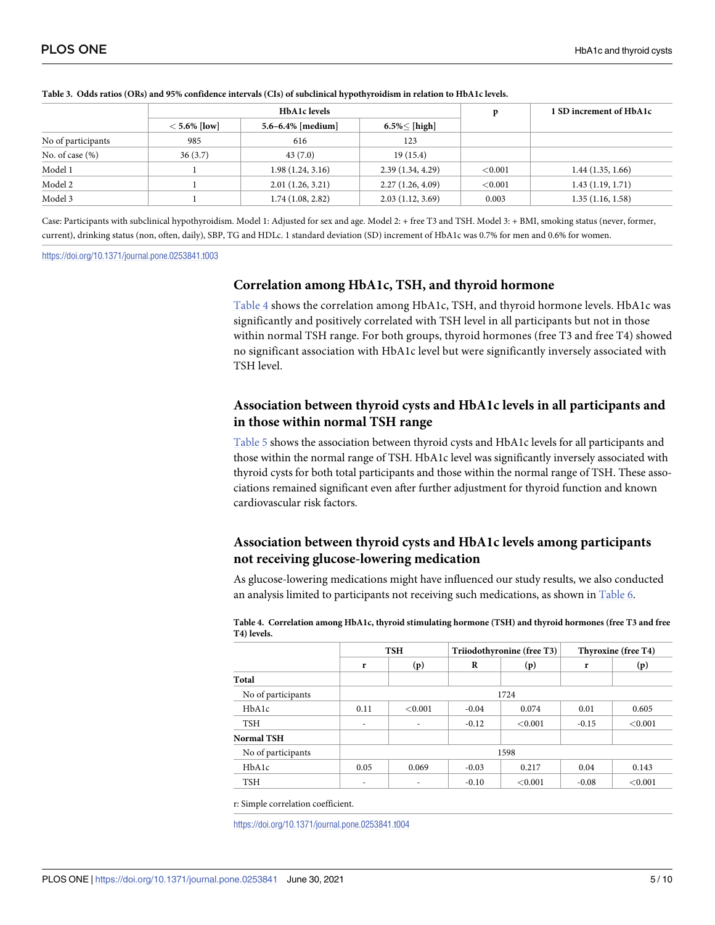|                    | <b>HbA1c</b> levels |                   |                     | p          | 1 SD increment of HbA1c |  |
|--------------------|---------------------|-------------------|---------------------|------------|-------------------------|--|
|                    | $< 5.6\%$ [low]     | 5.6-6.4% [medium] | $6.5\% \leq$ [high] |            |                         |  |
| No of participants | 985                 | 616               | 123                 |            |                         |  |
| No. of case $(\%)$ | 36(3.7)             | 43(7.0)           | 19(15.4)            |            |                         |  |
| Model 1            |                     | 1.98(1.24, 3.16)  | 2.39(1.34, 4.29)    | ${<}0.001$ | 1.44(1.35, 1.66)        |  |
| Model 2            |                     | 2.01(1.26, 3.21)  | 2.27(1.26, 4.09)    | ${<}0.001$ | 1.43(1.19, 1.71)        |  |
| Model 3            |                     | 1.74(1.08, 2.82)  | 2.03(1.12, 3.69)    | 0.003      | 1.35(1.16, 1.58)        |  |

#### <span id="page-4-0"></span>[Table](#page-3-0) 3. Odds ratios (ORs) and 95% confidence intervals (CIs) of subclinical hypothyroidism in relation to HbA1c levels.

Case: Participants with subclinical hypothyroidism. Model 1: Adjusted for sex and age. Model 2: + free T3 and TSH. Model 3: + BMI, smoking status (never, former, current), drinking status (non, often, daily), SBP, TG and HDLc. 1 standard deviation (SD) increment of HbA1c was 0.7% for men and 0.6% for women.

#### <https://doi.org/10.1371/journal.pone.0253841.t003>

### **Correlation among HbA1c, TSH, and thyroid hormone**

Table 4 shows the correlation among HbA1c, TSH, and thyroid hormone levels. HbA1c was significantly and positively correlated with TSH level in all participants but not in those within normal TSH range. For both groups, thyroid hormones (free T3 and free T4) showed no significant association with HbA1c level but were significantly inversely associated with TSH level.

### **Association between thyroid cysts and HbA1c levels in all participants and in those within normal TSH range**

[Table](#page-5-0) 5 shows the association between thyroid cysts and HbA1c levels for all participants and those within the normal range of TSH. HbA1c level was significantly inversely associated with thyroid cysts for both total participants and those within the normal range of TSH. These associations remained significant even after further adjustment for thyroid function and known cardiovascular risk factors.

### **Association between thyroid cysts and HbA1c levels among participants not receiving glucose-lowering medication**

As glucose-lowering medications might have influenced our study results, we also conducted an analysis limited to participants not receiving such medications, as shown in [Table](#page-5-0) 6.

**Table 4. Correlation among HbA1c, thyroid stimulating hormone (TSH) and thyroid hormones (free T3 and free T4) levels.**

|                    | <b>TSH</b> |         | Triiodothyronine (free T3) |         | Thyroxine (free T4) |         |
|--------------------|------------|---------|----------------------------|---------|---------------------|---------|
|                    | r          | (p)     | R                          | (p)     | r                   | (p)     |
| Total              |            |         |                            |         |                     |         |
| No of participants | 1724       |         |                            |         |                     |         |
| HbA1c              | 0.11       | < 0.001 | $-0.04$                    | 0.074   | 0.01                | 0.605   |
| <b>TSH</b>         | ٠          | ٠       | $-0.12$                    | < 0.001 | $-0.15$             | < 0.001 |
| Normal TSH         |            |         |                            |         |                     |         |
| No of participants | 1598       |         |                            |         |                     |         |
| HbA1c              | 0.05       | 0.069   | $-0.03$                    | 0.217   | 0.04                | 0.143   |
| <b>TSH</b>         | ۰          | ۰       | $-0.10$                    | < 0.001 | $-0.08$             | < 0.001 |
|                    |            |         |                            |         |                     |         |

r: Simple correlation coefficient.

<https://doi.org/10.1371/journal.pone.0253841.t004>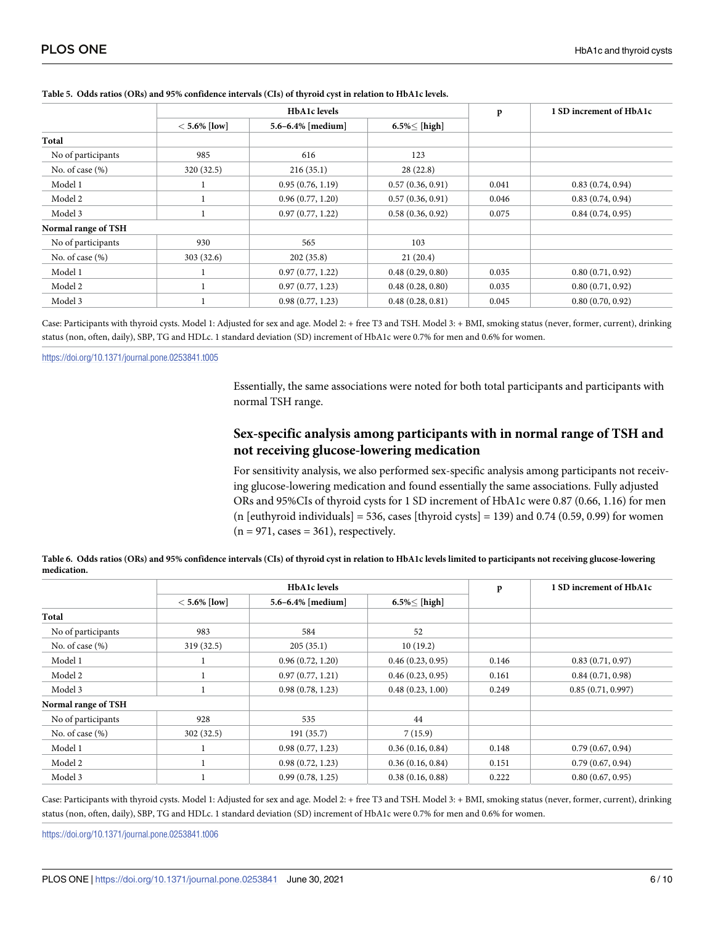|                     | <b>HbA1c</b> levels |                   |                  | p     | 1 SD increment of HbA1c |  |
|---------------------|---------------------|-------------------|------------------|-------|-------------------------|--|
|                     | $< 5.6\%$ [low]     | 5.6-6.4% [medium] | $6.5\%<$ [high]  |       |                         |  |
| Total               |                     |                   |                  |       |                         |  |
| No of participants  | 985                 | 616               | 123              |       |                         |  |
| No. of case $(\%)$  | 320(32.5)           | 216(35.1)         | 28(22.8)         |       |                         |  |
| Model 1             |                     | 0.95(0.76, 1.19)  | 0.57(0.36, 0.91) | 0.041 | 0.83(0.74, 0.94)        |  |
| Model 2             |                     | 0.96(0.77, 1.20)  | 0.57(0.36, 0.91) | 0.046 | 0.83(0.74, 0.94)        |  |
| Model 3             |                     | 0.97(0.77, 1.22)  | 0.58(0.36, 0.92) | 0.075 | 0.84(0.74, 0.95)        |  |
| Normal range of TSH |                     |                   |                  |       |                         |  |
| No of participants  | 930                 | 565               | 103              |       |                         |  |
| No. of case $(\%)$  | 303(32.6)           | 202(35.8)         | 21(20.4)         |       |                         |  |
| Model 1             |                     | 0.97(0.77, 1.22)  | 0.48(0.29, 0.80) | 0.035 | 0.80(0.71, 0.92)        |  |
| Model 2             |                     | 0.97(0.77, 1.23)  | 0.48(0.28, 0.80) | 0.035 | 0.80(0.71, 0.92)        |  |
| Model 3             |                     | 0.98(0.77, 1.23)  | 0.48(0.28, 0.81) | 0.045 | 0.80(0.70, 0.92)        |  |

#### <span id="page-5-0"></span>[Table](#page-4-0) 5. Odds ratios (ORs) and 95% confidence intervals (CIs) of thyroid cyst in relation to HbA1c levels.

Case: Participants with thyroid cysts. Model 1: Adjusted for sex and age. Model 2: + free T3 and TSH. Model 3: + BMI, smoking status (never, former, current), drinking status (non, often, daily), SBP, TG and HDLc. 1 standard deviation (SD) increment of HbA1c were 0.7% for men and 0.6% for women.

<https://doi.org/10.1371/journal.pone.0253841.t005>

Essentially, the same associations were noted for both total participants and participants with normal TSH range.

### **Sex-specific analysis among participants with in normal range of TSH and not receiving glucose-lowering medication**

For sensitivity analysis, we also performed sex-specific analysis among participants not receiving glucose-lowering medication and found essentially the same associations. Fully adjusted ORs and 95%CIs of thyroid cysts for 1 SD increment of HbA1c were 0.87 (0.66, 1.16) for men (n [euthyroid individuals] = 536, cases [thyroid cysts] = 139) and 0.74 (0.59, 0.99) for women  $(n = 971, cases = 361)$ , respectively.

|                     | <b>HbA1c</b> levels |                   |                  | $\mathbf{p}$ | 1 SD increment of HbA1c |  |
|---------------------|---------------------|-------------------|------------------|--------------|-------------------------|--|
|                     | $< 5.6\%$ [low]     | 5.6-6.4% [medium] | $6.5\%<$ [high]  |              |                         |  |
| Total               |                     |                   |                  |              |                         |  |
| No of participants  | 983                 | 584               | 52               |              |                         |  |
| No. of case $(\%)$  | 319(32.5)           | 205(35.1)         | 10(19.2)         |              |                         |  |
| Model 1             |                     | 0.96(0.72, 1.20)  | 0.46(0.23, 0.95) | 0.146        | 0.83(0.71, 0.97)        |  |
| Model 2             |                     | 0.97(0.77, 1.21)  | 0.46(0.23, 0.95) | 0.161        | 0.84(0.71, 0.98)        |  |
| Model 3             |                     | 0.98(0.78, 1.23)  | 0.48(0.23, 1.00) | 0.249        | 0.85(0.71, 0.997)       |  |
| Normal range of TSH |                     |                   |                  |              |                         |  |
| No of participants  | 928                 | 535               | 44               |              |                         |  |
| No. of case $(\% )$ | 302(32.5)           | 191(35.7)         | 7(15.9)          |              |                         |  |
| Model 1             |                     | 0.98(0.77, 1.23)  | 0.36(0.16, 0.84) | 0.148        | 0.79(0.67, 0.94)        |  |
| Model 2             |                     | 0.98(0.72, 1.23)  | 0.36(0.16, 0.84) | 0.151        | 0.79(0.67, 0.94)        |  |
| Model 3             |                     | 0.99(0.78, 1.25)  | 0.38(0.16, 0.88) | 0.222        | 0.80(0.67, 0.95)        |  |

[Table](#page-4-0) 6. Odds ratios (ORs) and 95% confidence intervals (CIs) of thyroid cyst in relation to HbA1c levels limited to participants not receiving glucose-lowering **medication.**

Case: Participants with thyroid cysts. Model 1: Adjusted for sex and age. Model 2: + free T3 and TSH. Model 3: + BMI, smoking status (never, former, current), drinking status (non, often, daily), SBP, TG and HDLc. 1 standard deviation (SD) increment of HbA1c were 0.7% for men and 0.6% for women.

<https://doi.org/10.1371/journal.pone.0253841.t006>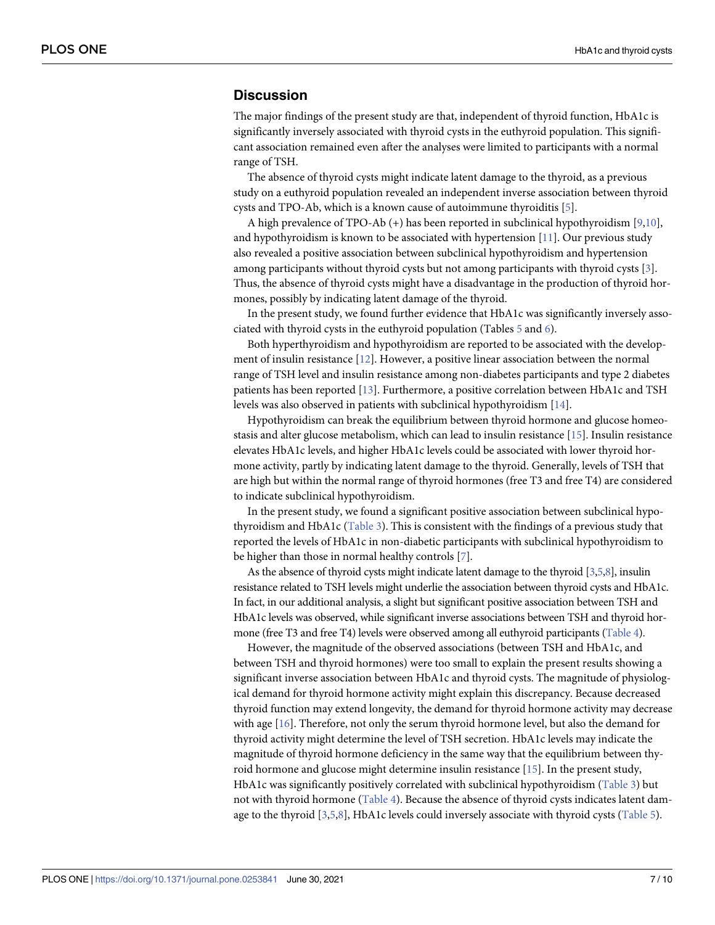### <span id="page-6-0"></span>**Discussion**

The major findings of the present study are that, independent of thyroid function, HbA1c is significantly inversely associated with thyroid cysts in the euthyroid population. This significant association remained even after the analyses were limited to participants with a normal range of TSH.

The absence of thyroid cysts might indicate latent damage to the thyroid, as a previous study on a euthyroid population revealed an independent inverse association between thyroid cysts and TPO-Ab, which is a known cause of autoimmune thyroiditis [\[5\]](#page-8-0).

A high prevalence of TPO-Ab (+) has been reported in subclinical hypothyroidism [[9](#page-8-0),[10](#page-8-0)], and hypothyroidism is known to be associated with hypertension  $[11]$ . Our previous study also revealed a positive association between subclinical hypothyroidism and hypertension among participants without thyroid cysts but not among participants with thyroid cysts [[3\]](#page-8-0). Thus, the absence of thyroid cysts might have a disadvantage in the production of thyroid hormones, possibly by indicating latent damage of the thyroid.

In the present study, we found further evidence that HbA1c was significantly inversely associated with thyroid cysts in the euthyroid population (Tables [5](#page-5-0) and [6\)](#page-5-0).

Both hyperthyroidism and hypothyroidism are reported to be associated with the development of insulin resistance [[12](#page-8-0)]. However, a positive linear association between the normal range of TSH level and insulin resistance among non-diabetes participants and type 2 diabetes patients has been reported [\[13\]](#page-8-0). Furthermore, a positive correlation between HbA1c and TSH levels was also observed in patients with subclinical hypothyroidism [[14](#page-8-0)].

Hypothyroidism can break the equilibrium between thyroid hormone and glucose homeostasis and alter glucose metabolism, which can lead to insulin resistance [\[15\]](#page-8-0). Insulin resistance elevates HbA1c levels, and higher HbA1c levels could be associated with lower thyroid hormone activity, partly by indicating latent damage to the thyroid. Generally, levels of TSH that are high but within the normal range of thyroid hormones (free T3 and free T4) are considered to indicate subclinical hypothyroidism.

In the present study, we found a significant positive association between subclinical hypothyroidism and HbA1c ([Table](#page-4-0) 3). This is consistent with the findings of a previous study that reported the levels of HbA1c in non-diabetic participants with subclinical hypothyroidism to be higher than those in normal healthy controls [[7](#page-8-0)].

As the absence of thyroid cysts might indicate latent damage to the thyroid  $[3,5,8]$  $[3,5,8]$ , insulin resistance related to TSH levels might underlie the association between thyroid cysts and HbA1c. In fact, in our additional analysis, a slight but significant positive association between TSH and HbA1c levels was observed, while significant inverse associations between TSH and thyroid hormone (free T3 and free T4) levels were observed among all euthyroid participants [\(Table](#page-4-0) 4).

However, the magnitude of the observed associations (between TSH and HbA1c, and between TSH and thyroid hormones) were too small to explain the present results showing a significant inverse association between HbA1c and thyroid cysts. The magnitude of physiological demand for thyroid hormone activity might explain this discrepancy. Because decreased thyroid function may extend longevity, the demand for thyroid hormone activity may decrease with age [[16](#page-9-0)]. Therefore, not only the serum thyroid hormone level, but also the demand for thyroid activity might determine the level of TSH secretion. HbA1c levels may indicate the magnitude of thyroid hormone deficiency in the same way that the equilibrium between thyroid hormone and glucose might determine insulin resistance [\[15\]](#page-8-0). In the present study, HbA1c was significantly positively correlated with subclinical hypothyroidism ([Table](#page-4-0) 3) but not with thyroid hormone [\(Table](#page-4-0) 4). Because the absence of thyroid cysts indicates latent damage to the thyroid [[3](#page-8-0),[5](#page-8-0),[8](#page-8-0)], HbA1c levels could inversely associate with thyroid cysts ([Table](#page-5-0) 5).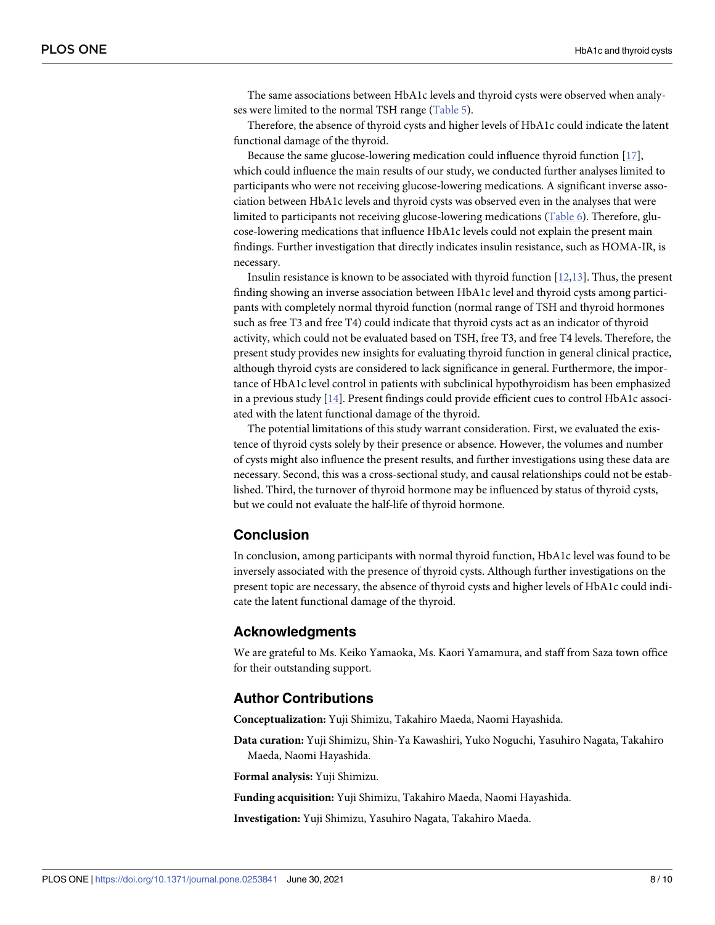<span id="page-7-0"></span>The same associations between HbA1c levels and thyroid cysts were observed when analyses were limited to the normal TSH range ([Table](#page-5-0) 5).

Therefore, the absence of thyroid cysts and higher levels of HbA1c could indicate the latent functional damage of the thyroid.

Because the same glucose-lowering medication could influence thyroid function [\[17\]](#page-9-0), which could influence the main results of our study, we conducted further analyses limited to participants who were not receiving glucose-lowering medications. A significant inverse association between HbA1c levels and thyroid cysts was observed even in the analyses that were limited to participants not receiving glucose-lowering medications ([Table](#page-5-0) 6). Therefore, glucose-lowering medications that influence HbA1c levels could not explain the present main findings. Further investigation that directly indicates insulin resistance, such as HOMA-IR, is necessary.

Insulin resistance is known to be associated with thyroid function [\[12,13](#page-8-0)]. Thus, the present finding showing an inverse association between HbA1c level and thyroid cysts among participants with completely normal thyroid function (normal range of TSH and thyroid hormones such as free T3 and free T4) could indicate that thyroid cysts act as an indicator of thyroid activity, which could not be evaluated based on TSH, free T3, and free T4 levels. Therefore, the present study provides new insights for evaluating thyroid function in general clinical practice, although thyroid cysts are considered to lack significance in general. Furthermore, the importance of HbA1c level control in patients with subclinical hypothyroidism has been emphasized in a previous study [[14](#page-8-0)]. Present findings could provide efficient cues to control HbA1c associated with the latent functional damage of the thyroid.

The potential limitations of this study warrant consideration. First, we evaluated the existence of thyroid cysts solely by their presence or absence. However, the volumes and number of cysts might also influence the present results, and further investigations using these data are necessary. Second, this was a cross-sectional study, and causal relationships could not be established. Third, the turnover of thyroid hormone may be influenced by status of thyroid cysts, but we could not evaluate the half-life of thyroid hormone.

### **Conclusion**

In conclusion, among participants with normal thyroid function, HbA1c level was found to be inversely associated with the presence of thyroid cysts. Although further investigations on the present topic are necessary, the absence of thyroid cysts and higher levels of HbA1c could indicate the latent functional damage of the thyroid.

### **Acknowledgments**

We are grateful to Ms. Keiko Yamaoka, Ms. Kaori Yamamura, and staff from Saza town office for their outstanding support.

### **Author Contributions**

**Conceptualization:** Yuji Shimizu, Takahiro Maeda, Naomi Hayashida.

**Data curation:** Yuji Shimizu, Shin-Ya Kawashiri, Yuko Noguchi, Yasuhiro Nagata, Takahiro Maeda, Naomi Hayashida.

**Formal analysis:** Yuji Shimizu.

**Funding acquisition:** Yuji Shimizu, Takahiro Maeda, Naomi Hayashida.

**Investigation:** Yuji Shimizu, Yasuhiro Nagata, Takahiro Maeda.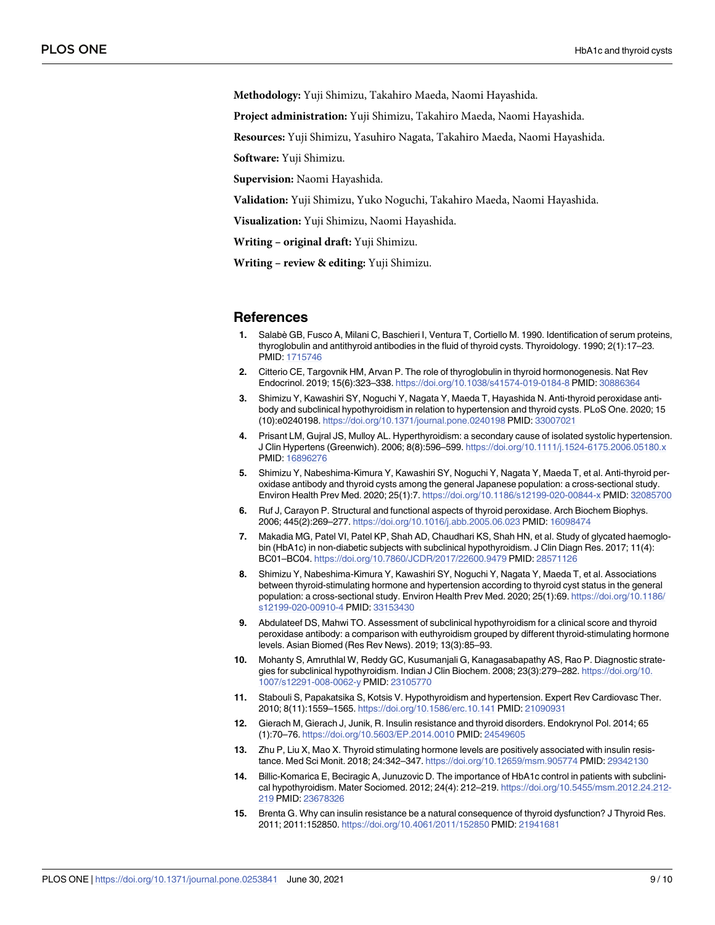<span id="page-8-0"></span>**Methodology:** Yuji Shimizu, Takahiro Maeda, Naomi Hayashida.

**Project administration:** Yuji Shimizu, Takahiro Maeda, Naomi Hayashida.

**Resources:** Yuji Shimizu, Yasuhiro Nagata, Takahiro Maeda, Naomi Hayashida.

**Software:** Yuji Shimizu.

**Supervision:** Naomi Hayashida.

**Validation:** Yuji Shimizu, Yuko Noguchi, Takahiro Maeda, Naomi Hayashida.

**Visualization:** Yuji Shimizu, Naomi Hayashida.

**Writing – original draft:** Yuji Shimizu.

**Writing – review & editing:** Yuji Shimizu.

#### **References**

- **[1](#page-1-0).** Salabè GB, Fusco A, Milani C, Baschieri I, Ventura T, Cortiello M. 1990. Identification of serum proteins, thyroglobulin and antithyroid antibodies in the fluid of thyroid cysts. Thyroidology. 1990; 2(1):17–23. PMID: [1715746](http://www.ncbi.nlm.nih.gov/pubmed/1715746)
- **[2](#page-1-0).** Citterio CE, Targovnik HM, Arvan P. The role of thyroglobulin in thyroid hormonogenesis. Nat Rev Endocrinol. 2019; 15(6):323–338. <https://doi.org/10.1038/s41574-019-0184-8> PMID: [30886364](http://www.ncbi.nlm.nih.gov/pubmed/30886364)
- **[3](#page-1-0).** Shimizu Y, Kawashiri SY, Noguchi Y, Nagata Y, Maeda T, Hayashida N. Anti-thyroid peroxidase antibody and subclinical hypothyroidism in relation to hypertension and thyroid cysts. PLoS One. 2020; 15 (10):e0240198. <https://doi.org/10.1371/journal.pone.0240198> PMID: [33007021](http://www.ncbi.nlm.nih.gov/pubmed/33007021)
- **[4](#page-1-0).** Prisant LM, Gujral JS, Mulloy AL. Hyperthyroidism: a secondary cause of isolated systolic hypertension. J Clin Hypertens (Greenwich). 2006; 8(8):596–599. <https://doi.org/10.1111/j.1524-6175.2006.05180.x> PMID: [16896276](http://www.ncbi.nlm.nih.gov/pubmed/16896276)
- **[5](#page-1-0).** Shimizu Y, Nabeshima-Kimura Y, Kawashiri SY, Noguchi Y, Nagata Y, Maeda T, et al. Anti-thyroid peroxidase antibody and thyroid cysts among the general Japanese population: a cross-sectional study. Environ Health Prev Med. 2020; 25(1):7. <https://doi.org/10.1186/s12199-020-00844-x> PMID: [32085700](http://www.ncbi.nlm.nih.gov/pubmed/32085700)
- **[6](#page-1-0).** Ruf J, Carayon P. Structural and functional aspects of thyroid peroxidase. Arch Biochem Biophys. 2006; 445(2):269–277. <https://doi.org/10.1016/j.abb.2005.06.023> PMID: [16098474](http://www.ncbi.nlm.nih.gov/pubmed/16098474)
- **[7](#page-1-0).** Makadia MG, Patel VI, Patel KP, Shah AD, Chaudhari KS, Shah HN, et al. Study of glycated haemoglobin (HbA1c) in non-diabetic subjects with subclinical hypothyroidism. J Clin Diagn Res. 2017; 11(4): BC01–BC04. <https://doi.org/10.7860/JCDR/2017/22600.9479> PMID: [28571126](http://www.ncbi.nlm.nih.gov/pubmed/28571126)
- **[8](#page-1-0).** Shimizu Y, Nabeshima-Kimura Y, Kawashiri SY, Noguchi Y, Nagata Y, Maeda T, et al. Associations between thyroid-stimulating hormone and hypertension according to thyroid cyst status in the general population: a cross-sectional study. Environ Health Prev Med. 2020; 25(1):69. [https://doi.org/10.1186/](https://doi.org/10.1186/s12199-020-00910-4) [s12199-020-00910-4](https://doi.org/10.1186/s12199-020-00910-4) PMID: [33153430](http://www.ncbi.nlm.nih.gov/pubmed/33153430)
- **[9](#page-6-0).** Abdulateef DS, Mahwi TO. Assessment of subclinical hypothyroidism for a clinical score and thyroid peroxidase antibody: a comparison with euthyroidism grouped by different thyroid-stimulating hormone levels. Asian Biomed (Res Rev News). 2019; 13(3):85–93.
- **[10](#page-6-0).** Mohanty S, Amruthlal W, Reddy GC, Kusumanjali G, Kanagasabapathy AS, Rao P. Diagnostic strategies for subclinical hypothyroidism. Indian J Clin Biochem. 2008; 23(3):279–282. [https://doi.org/10.](https://doi.org/10.1007/s12291-008-0062-y) [1007/s12291-008-0062-y](https://doi.org/10.1007/s12291-008-0062-y) PMID: [23105770](http://www.ncbi.nlm.nih.gov/pubmed/23105770)
- **[11](#page-6-0).** Stabouli S, Papakatsika S, Kotsis V. Hypothyroidism and hypertension. Expert Rev Cardiovasc Ther. 2010; 8(11):1559–1565. <https://doi.org/10.1586/erc.10.141> PMID: [21090931](http://www.ncbi.nlm.nih.gov/pubmed/21090931)
- **[12](#page-6-0).** Gierach M, Gierach J, Junik, R. Insulin resistance and thyroid disorders. Endokrynol Pol. 2014; 65 (1):70–76. <https://doi.org/10.5603/EP.2014.0010> PMID: [24549605](http://www.ncbi.nlm.nih.gov/pubmed/24549605)
- **[13](#page-6-0).** Zhu P, Liu X, Mao X. Thyroid stimulating hormone levels are positively associated with insulin resistance. Med Sci Monit. 2018; 24:342–347. <https://doi.org/10.12659/msm.905774> PMID: [29342130](http://www.ncbi.nlm.nih.gov/pubmed/29342130)
- **[14](#page-6-0).** Billic-Komarica E, Beciragic A, Junuzovic D. The importance of HbA1c control in patients with subclinical hypothyroidism. Mater Sociomed. 2012; 24(4): 212–219. [https://doi.org/10.5455/msm.2012.24.212-](https://doi.org/10.5455/msm.2012.24.212-219) [219](https://doi.org/10.5455/msm.2012.24.212-219) PMID: [23678326](http://www.ncbi.nlm.nih.gov/pubmed/23678326)
- **[15](#page-6-0).** Brenta G. Why can insulin resistance be a natural consequence of thyroid dysfunction? J Thyroid Res. 2011; 2011:152850. <https://doi.org/10.4061/2011/152850> PMID: [21941681](http://www.ncbi.nlm.nih.gov/pubmed/21941681)